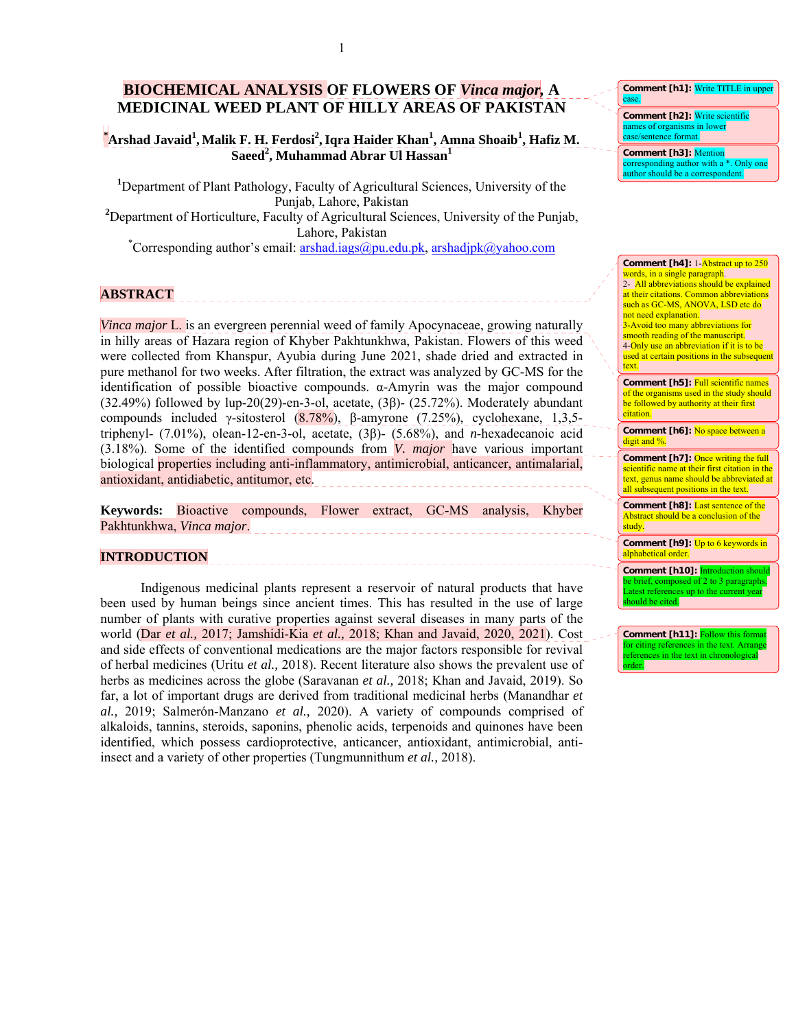# **BIOCHEMICAL ANALYSIS OF FLOWERS OF** *Vinca major,* **A MEDICINAL WEED PLANT OF HILLY AREAS OF PAKISTAN**

## $^{\bullet}$ Arshad Javaid<sup>1</sup>, Malik F. H. Ferdosi<sup>2</sup>, Iqra Haider Khan<sup>1</sup>, Amna Shoaib<sup>1</sup>, Hafiz M. **Saeed<sup>2</sup> , Muhammad Abrar Ul Hassan<sup>1</sup>**

<sup>1</sup>Department of Plant Pathology, Faculty of Agricultural Sciences, University of the Punjab, Lahore, Pakistan <sup>2</sup>Department of Horticulture, Faculty of Agricultural Sciences, University of the Punjab, Lahore, Pakistan<br>
\*Corresponding author's email: <u>[arshad.iags@pu.edu.pk,](mailto:arshad.iags@pu.edu.pk) [arshadjpk@yahoo.com](mailto:arshadjpk@yahoo.com)</u>

## **ABSTRACT**

*Vinca major L*, is an evergreen perennial weed of family Apocynaceae, growing naturally in hilly areas of Hazara region of Khyber Pakhtunkhwa, Pakistan. Flowers of this weed were collected from Khanspur, Ayubia during June 2021, shade dried and extracted in pure methanol for two weeks. After filtration, the extract was analyzed by GC-MS for the identification of possible bioactive compounds. α-Amyrin was the major compound (32.49%) followed by lup-20(29)-en-3-ol, acetate, (3β)- (25.72%). Moderately abundant compounds included γ-sitosterol  $(8.78\%)$ , β-amyrone (7.25%), cyclohexane, 1,3,5triphenyl- (7.01%), olean-12-en-3-ol, acetate, (3β)- (5.68%), and *n*-hexadecanoic acid (3.18%). Some of the identified compounds from *V. major* have various important biological properties including anti-inflammatory, antimicrobial, anticancer, antimalarial, antioxidant, antidiabetic, antitumor, etc.

**Keywords:** Bioactive compounds, Flower extract, GC-MS analysis, Khyber Pakhtunkhwa, *Vinca major*.

<u> 222222222222</u>

### **INTRODUCTION**

Indigenous medicinal plants represent a reservoir of natural products that have been used by human beings since ancient times. This has resulted in the use of large number of plants with curative properties against several diseases in many parts of the world (Dar *et al.,* 2017; Jamshidi-Kia *et al.,* 2018; Khan and Javaid, 2020, 2021). Cost and side effects of conventional medications are the major factors responsible for revival of herbal medicines (Uritu *et al.,* 2018). Recent literature also shows the prevalent use of herbs as medicines across the globe (Saravanan *et al.,* 2018; Khan and Javaid, 2019). So far, a lot of important drugs are derived from traditional medicinal herbs (Manandhar *et al.,* 2019; Salmerón-Manzano *et al.,* 2020). A variety of compounds comprised of alkaloids, tannins, steroids, saponins, phenolic acids, terpenoids and quinones have been identified, which possess cardioprotective, anticancer, antioxidant, antimicrobial, antiinsect and a variety of other properties (Tungmunnithum *et al.,* 2018).

#### **Comment [h1]:** Write TITLE in upper case.

**Comment [h2]:** Write scientific names of organisms in lower case/sentence format.

**Comment [h3]:** Mention prresponding author with a \*. Only on uthor should be a correspondent.

#### **Comment [h4]:** 1-Abstract up to 250 words, in a single paragraph. 2- All abbreviations should be explained at their citations. Common abbreviations such as GC-MS, ANOVA, LSD etc do not need explanation. 3-Avoid too many abbreviations for smooth reading of the manuscript. 4-Only use an abbreviation if it is to be used at certain positions in the subsequent text. **Comment [h5]:** Full scientific names of the organisms used in the study should be followed by authority at their first citation.

**Comment [h6]:** No space between a digit and %.

**Comment [h7]:** Once writing the full scientific name at their first citation in the text, genus name should be abbreviated at all subsequent positions in the text.

**Comment [h8]:** Last sentence of the Abstract should be a conclusion of the study<sup>[1]</sup>

**Comment [h9]:** Up to 6 keywords in alphabetical order.

**Comment [h10]:** Introduction should e brief, composed of 2 to 3 paragraphs Latest references up to the current year hould be cited.

**Comment [h11]: Follow this formation** for citing references in the text. Arran references in the text in chronological order.

1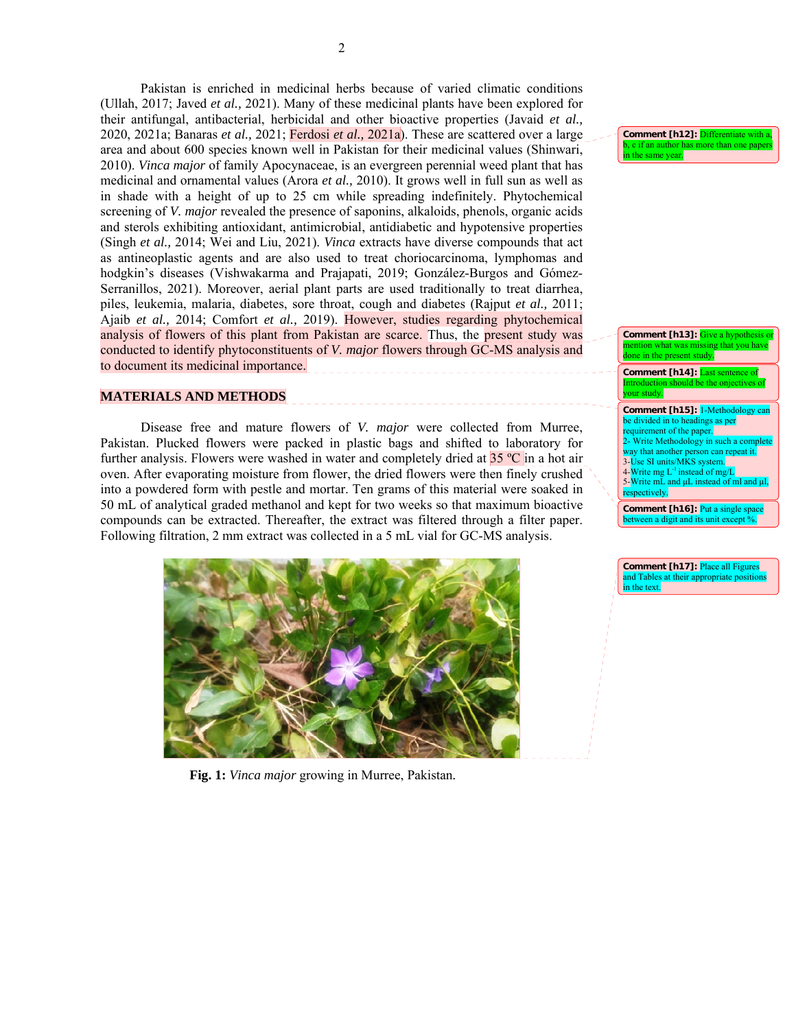Pakistan is enriched in medicinal herbs because of varied climatic conditions (Ullah, 2017; Javed *et al.,* 2021). Many of these medicinal plants have been explored for their antifungal, antibacterial, herbicidal and other bioactive properties (Javaid *et al.,* 2020, 2021a; Banaras *et al.,* 2021; Ferdosi *et al.,* 2021a). These are scattered over a large area and about 600 species known well in Pakistan for their medicinal values (Shinwari, 2010). *Vinca major* of family Apocynaceae, is an evergreen perennial weed plant that has medicinal and ornamental values (Arora *et al.,* 2010). It grows well in full sun as well as in shade with a height of up to 25 cm while spreading indefinitely. Phytochemical screening of *V. major* revealed the presence of saponins, alkaloids, phenols, organic acids and sterols exhibiting antioxidant, antimicrobial, antidiabetic and hypotensive properties (Singh *et al.,* 2014; Wei and Liu, 2021). *Vinca* extracts have diverse compounds that act as antineoplastic agents and are also used to treat choriocarcinoma, lymphomas and hodgkin's diseases (Vishwakarma and Prajapati, 2019; González-Burgos and Gómez-Serranillos, 2021). Moreover, aerial plant parts are used traditionally to treat diarrhea, piles, leukemia, malaria, diabetes, sore throat, cough and diabetes (Rajput *et al.,* 2011; Ajaib *et al.,* 2014; Comfort *et al.,* 2019). However, studies regarding phytochemical analysis of flowers of this plant from Pakistan are scarce. Thus, the present study was conducted to identify phytoconstituents of *V. major* flowers through GC-MS analysis and to document its medicinal importance.

### **MATERIALS AND METHODS**

Disease free and mature flowers of *V. major* were collected from Murree, Pakistan. Plucked flowers were packed in plastic bags and shifted to laboratory for further analysis. Flowers were washed in water and completely dried at  $35^{\circ}$ C in a hot air oven. After evaporating moisture from flower, the dried flowers were then finely crushed into a powdered form with pestle and mortar. Ten grams of this material were soaked in 50 mL of analytical graded methanol and kept for two weeks so that maximum bioactive compounds can be extracted. Thereafter, the extract was filtered through a filter paper. Following filtration, 2 mm extract was collected in a 5 mL vial for GC-MS analysis.



**Fig. 1:** *Vinca major* growing in Murree, Pakistan*.* 

**Comment [h12]:** Differentiate with a c if an author has more than one p .<br>n the same year.

**Comment [h13]:** Give a hypothesi that you hav in the present

**Comment [h14]:** Last sent Introduction should be the onjectives of our study.

**Comment [h15]:** 1-Methodology can be divided in to headings as per ement of the paper. 2- Write Methodology in such a co way that another person can repeat it. 3-Use SI units/MKS system.<br>4-Write mg L<sup>-1</sup> instead of mg/L 5-Write mL and μL instead of ml and μl, respectively.

**Comment [h16]:** Put a single space between a digit and its unit except %.

**Comment [h17]:** Place all Figures and Tables at their appropriate position in the text.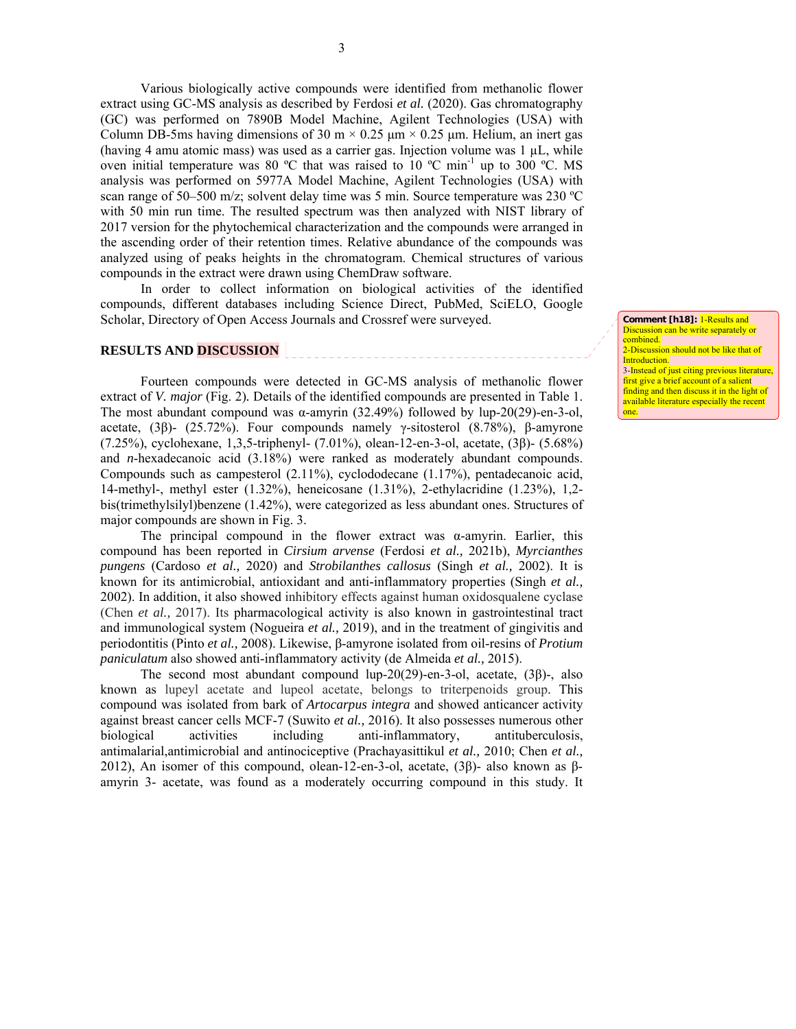Various biologically active compounds were identified from methanolic flower extract using GC-MS analysis as described by Ferdosi *et al.* (2020). Gas chromatography (GC) was performed on 7890B Model Machine, Agilent Technologies (USA) with Column DB-5ms having dimensions of 30 m  $\times$  0.25  $\mu$ m  $\times$  0.25  $\mu$ m. Helium, an inert gas (having 4 amu atomic mass) was used as a carrier gas. Injection volume was  $1 \mu L$ , while oven initial temperature was 80 °C that was raised to 10 °C min<sup>-1</sup> up to 300 °C. MS analysis was performed on 5977A Model Machine, Agilent Technologies (USA) with scan range of 50–500 m/z; solvent delay time was 5 min. Source temperature was 230 ºC with 50 min run time. The resulted spectrum was then analyzed with NIST library of 2017 version for the phytochemical characterization and the compounds were arranged in the ascending order of their retention times. Relative abundance of the compounds was analyzed using of peaks heights in the chromatogram. Chemical structures of various compounds in the extract were drawn using ChemDraw software.

In order to collect information on biological activities of the identified compounds, different databases including Science Direct, PubMed, SciELO, Google Scholar, Directory of Open Access Journals and Crossref were surveyed.

\_\_\_\_\_\_\_\_\_\_\_\_\_\_\_\_\_\_\_\_\_\_

## **RESULTS AND DISCUSSION**

Fourteen compounds were detected in GC-MS analysis of methanolic flower extract of *V. major* (Fig. 2)*.* Details of the identified compounds are presented in Table 1. The most abundant compound was α-amyrin (32.49%) followed by lup-20(29)-en-3-ol, acetate, (3β)- (25.72%). Four compounds namely γ-sitosterol (8.78%), β-amyrone (7.25%), cyclohexane, 1,3,5-triphenyl- (7.01%), olean-12-en-3-ol, acetate, (3β)- (5.68%) and *n*-hexadecanoic acid (3.18%) were ranked as moderately abundant compounds. Compounds such as campesterol  $(2.11\%)$ , cyclododecane  $(1.17\%)$ , pentadecanoic acid, 14-methyl-, methyl ester (1.32%), heneicosane (1.31%), 2-ethylacridine (1.23%), 1,2 bis(trimethylsilyl)benzene (1.42%), were categorized as less abundant ones. Structures of major compounds are shown in Fig. 3.

 The principal compound in the flower extract was α-amyrin. Earlier, this compound has been reported in *Cirsium arvense* (Ferdosi *et al.,* 2021b), *Myrcianthes pungens* (Cardoso *et al.,* 2020) and *Strobilanthes callosus* (Singh *et al.,* 2002). It is known for its antimicrobial, antioxidant and anti-inflammatory properties (Singh *et al.,* 2002). In addition, it also showed inhibitory effects against human oxidosqualene cyclase (Chen *et al.,* 2017). Its pharmacological activity is also known in gastrointestinal tract and immunological system (Nogueira *et al.,* 2019), and in the treatment of gingivitis and periodontitis (Pinto *et al.,* 2008). Likewise, β-amyrone isolated from oil-resins of *Protium paniculatum* also showed anti-inflammatory activity (de Almeida *et al.,* 2015).

The second most abundant compound lup-20(29)-en-3-ol, acetate, (3β)-, also known as lupeyl acetate and lupeol acetate, belongs to triterpenoids group. This compound was isolated from bark of *Artocarpus integra* and showed anticancer activity against breast cancer cells MCF-7 (Suwito *et al.,* 2016). It also possesses numerous other biological activities including anti-inflammatory, antituberculosis, antimalarial,antimicrobial and antinociceptive (Prachayasittikul *et al.,* 2010; Chen *et al.,* 2012), An isomer of this compound, olean-12-en-3-ol, acetate, (3β)- also known as βamyrin 3- acetate, was found as a moderately occurring compound in this study. It **Comment [h18]:** 1-Results and Discussion can be write separately or combined. 2-Discussion should not be like that of Introduction. 3-Instead of just citing previous literature, first give a brief account of a salient finding and then discuss it in the light of available literature especially the recent

one.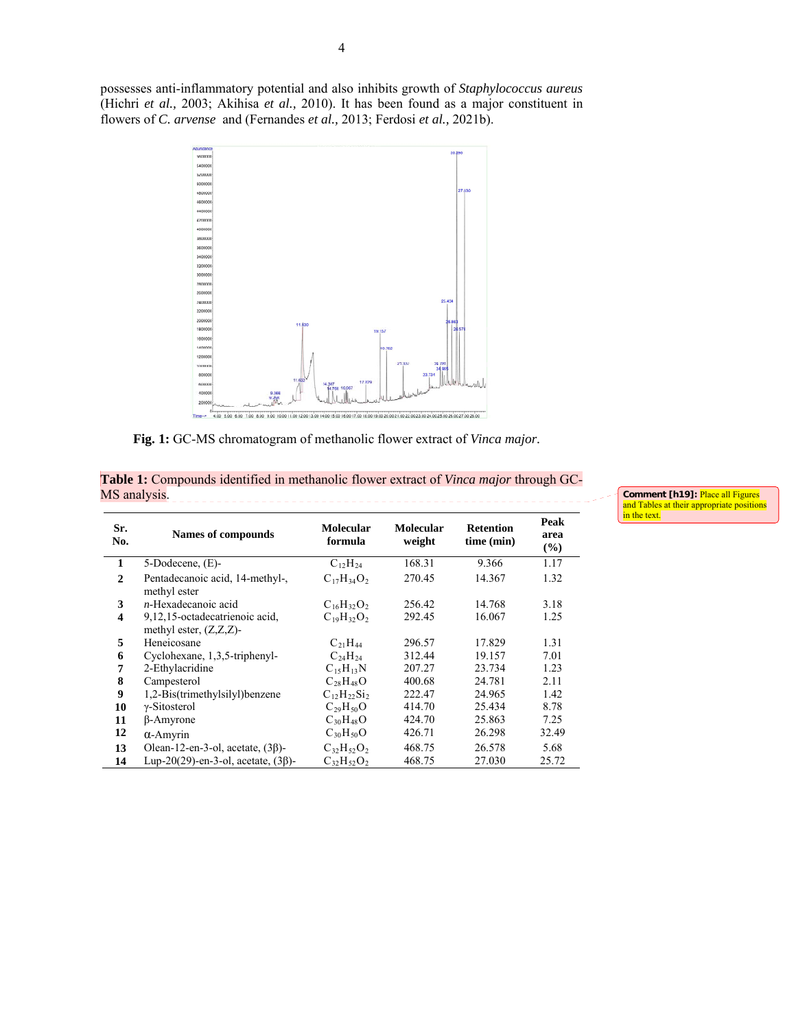possesses anti-inflammatory potential and also inhibits growth of *Staphylococcus aureus* (Hichri *et al.,* 2003; Akihisa *et al.,* 2010). It has been found as a major constituent in flowers of *C. arvense* and (Fernandes *et al.,* 2013; Ferdosi *et al.,* 2021b).



**Fig. 1:** GC-MS chromatogram of methanolic flower extract of *Vinca major.* 

| MS analysis.            |                                                             |                             |                            |                                |                        |  |  |
|-------------------------|-------------------------------------------------------------|-----------------------------|----------------------------|--------------------------------|------------------------|--|--|
| Sr.<br>No.              | Names of compounds                                          | <b>Molecular</b><br>formula | <b>Molecular</b><br>weight | <b>Retention</b><br>time (min) | Peak<br>area<br>$(\%)$ |  |  |
|                         | $5-Dodecence, (E)-$                                         | $C_{12}H_{24}$              | 168.31                     | 9.366                          | 1.17                   |  |  |
| 2                       | Pentadecanoic acid, 14-methyl-,<br>methyl ester             | $C_{17}H_{34}O_2$           | 270.45                     | 14.367                         | 1.32                   |  |  |
| 3                       | $n$ -Hexadecanoic acid                                      | $C_{16}H_{32}O_2$           | 256.42                     | 14.768                         | 3.18                   |  |  |
| $\overline{\mathbf{4}}$ | 9,12,15-octadecatrienoic acid,<br>methyl ester, $(Z,Z,Z)$ - | $C_{19}H_{32}O_2$           | 292.45                     | 16.067                         | 1.25                   |  |  |
| 5                       | Heneicosane                                                 | $C_{21}H_{44}$              | 296.57                     | 17.829                         | 1.31                   |  |  |
| 6                       | Cyclohexane, 1,3,5-triphenyl-                               | $C_{24}H_{24}$              | 312.44                     | 19.157                         | 7.01                   |  |  |

 2-Ethylacridine C<sub>15</sub>H<sub>13</sub>N 207.27 23.734 1.23<br> **8** Campesterol C<sub>28</sub>H<sub>48</sub>O 400.68 24.781 2.11 Campesterol C<sub>28</sub>H<sub>48</sub>O 400.68 24.781 2.11<br> **9** 1,2-Bis(trimethylsilyl)benzene C<sub>12</sub>H<sub>22</sub>Si<sub>2</sub> 222.47 24.965 1.42 1,2-Bis(trimethylsilyl)benzene  $C_{12}H_{22}Si_2$  222.47 24.965 1.42<br> **10**  $\gamma$ -Sitosterol  $C_{29}H_{50}O$  414.70 25.434 8.78 *γ*-Sitosterol C<sub>29</sub>H<sub>50</sub>O 414.70 25.434 8.78<br> **11** β-Amyrone C<sub>30</sub>H<sub>48</sub>O 424.70 25.863 7.25

**12 α**-Amyrin C<sub>30</sub>H<sub>50</sub>O 426.71 26.298 32.49 **13** Olean-12-en-3-ol, acetate, (3β)- C<sub>32</sub>H<sub>52</sub>O<sub>2</sub> 468.75 26.578 5.68 **14** Lup-20(29)-en-3-ol, acetate, (3β)- C<sub>32</sub>H<sub>52</sub>O<sub>2</sub> 468.75 27.030 25.72

 $β$ -Amyrone

**Table 1:** Compounds identified in methanolic flower extract of *Vinca major* through GC-

and Tables at their appropriate positions in the text.

**Comment [h19]:** Place all Figures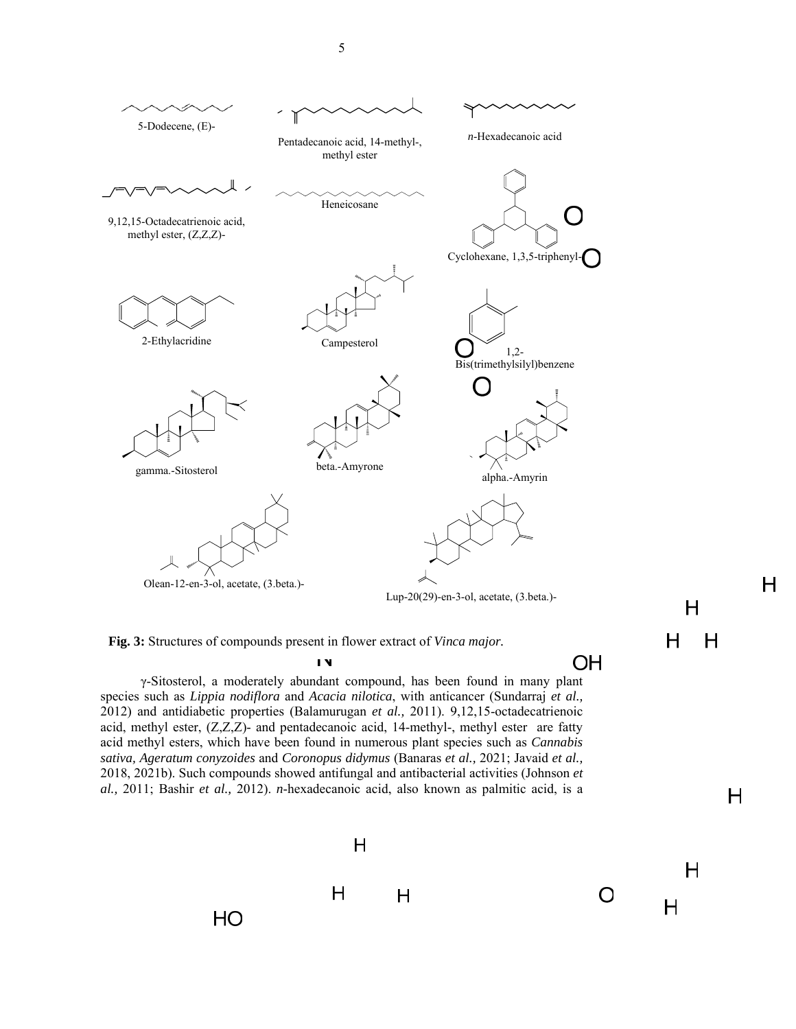

**Fig. 3:** Structures of compounds present in flower extract of *Vinca major.* 

IV

γ-Sitosterol, a moderately abundant compound, has been found in many plant species such as *Lippia nodiflora* and *Acacia nilotica*, with anticancer (Sundarraj *et al.,* 2012) and antidiabetic properties (Balamurugan *et al.,* 2011). 9,12,15-octadecatrienoic acid, methyl ester, (Z,Z,Z)- and pentadecanoic acid, 14-methyl-, methyl ester are fatty acid methyl esters, which have been found in numerous plant species such as *Cannabis sativa, Ageratum conyzoides* and *Coronopus didymus* (Banaras *et al.,* 2021; Javaid *et al.,* 2018, 2021b). Such compounds showed antifungal and antibacterial activities (Johnson *et al.,* 2011; Bashir *et al.,* 2012). *n*-hexadecanoic acid, also known as palmitic acid, is a  $H$ 

 $\overline{\mathsf{H}}$ 

H

 $\mathsf{H}$ 

 $\mathsf{H}$ 

 $H$ 

 $H$ 

OH

O

H

 $H$ 

H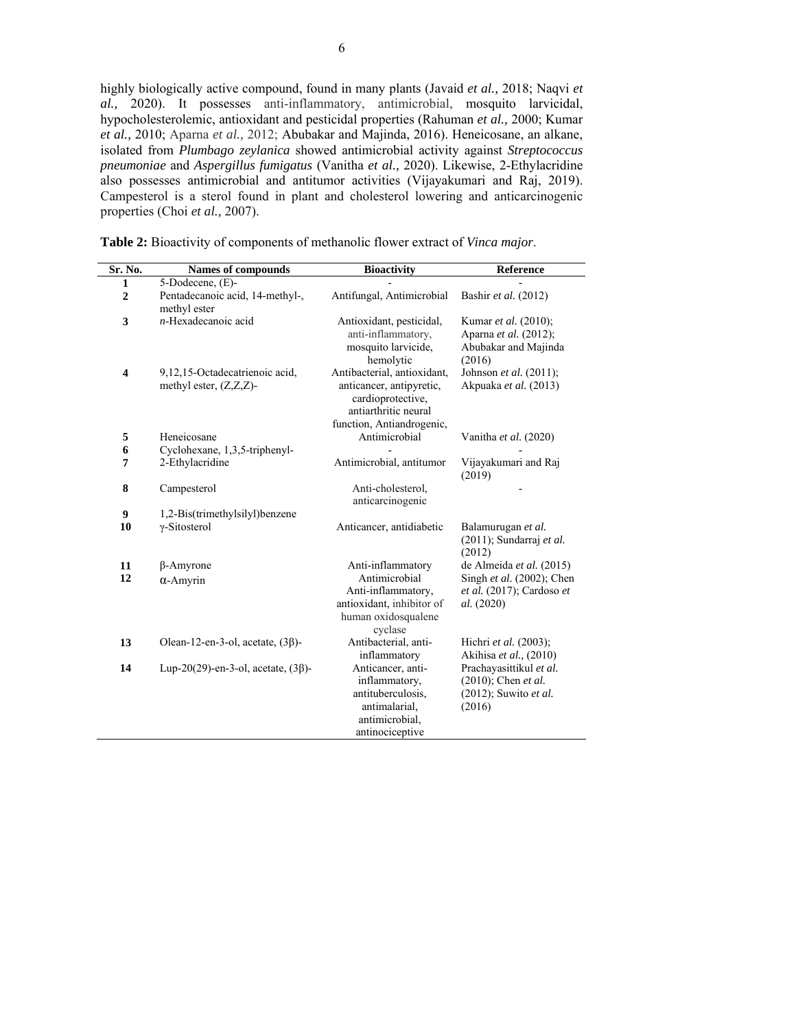highly biologically active compound, found in many plants (Javaid *et al.,* 2018; Naqvi *et al.,* 2020). It possesses anti-inflammatory, antimicrobial, mosquito larvicidal, hypocholesterolemic, antioxidant and pesticidal properties (Rahuman *et al.,* 2000; Kumar *et al.,* 2010; Aparna *et al.,* 2012; Abubakar and Majinda, 2016). Heneicosane, an alkane, isolated from *Plumbago zeylanica* showed antimicrobial activity against *Streptococcus pneumoniae* and *Aspergillus fumigatus* (Vanitha *et al.,* 2020). Likewise, 2-Ethylacridine also possesses antimicrobial and antitumor activities (Vijayakumari and Raj, 2019). Campesterol is a sterol found in plant and cholesterol lowering and anticarcinogenic properties (Choi *et al.,* 2007).

| Sr. No.        | <b>Names of compounds</b>                                   | <b>Bioactivity</b>                                                                                                                | Reference                                                                               |  |
|----------------|-------------------------------------------------------------|-----------------------------------------------------------------------------------------------------------------------------------|-----------------------------------------------------------------------------------------|--|
| $\mathbf{1}$   | 5-Dodecene, (E)-                                            |                                                                                                                                   |                                                                                         |  |
| $\overline{2}$ | Pentadecanoic acid, 14-methyl-,<br>methyl ester             | Antifungal, Antimicrobial                                                                                                         | Bashir et al. (2012)                                                                    |  |
| 3              | $n$ -Hexadecanoic acid                                      | Antioxidant, pesticidal,<br>anti-inflammatory,<br>mosquito larvicide,<br>hemolytic                                                | Kumar et al. (2010);<br>Aparna et al. (2012);<br>Abubakar and Majinda<br>(2016)         |  |
| 4              | 9,12,15-Octadecatrienoic acid,<br>methyl ester, $(Z,Z,Z)$ - | Antibacterial, antioxidant,<br>anticancer, antipyretic,<br>cardioprotective,<br>antiarthritic neural<br>function, Antiandrogenic, | Johnson et al. (2011);<br>Akpuaka et al. (2013)                                         |  |
| 5              | Heneicosane                                                 | Antimicrobial                                                                                                                     | Vanitha et al. (2020)                                                                   |  |
| 6              | Cyclohexane, 1,3,5-triphenyl-                               |                                                                                                                                   |                                                                                         |  |
| 7              | 2-Ethylacridine                                             | Antimicrobial, antitumor                                                                                                          | Vijayakumari and Raj<br>(2019)                                                          |  |
| 8              | Campesterol                                                 | Anti-cholesterol,<br>anticarcinogenic                                                                                             |                                                                                         |  |
| 9              | 1,2-Bis(trimethylsilyl)benzene                              |                                                                                                                                   |                                                                                         |  |
| 10             | $\gamma$ -Sitosterol                                        | Anticancer, antidiabetic                                                                                                          | Balamurugan et al.<br>$(2011)$ ; Sundarraj et al.<br>(2012)                             |  |
| 11             | $\beta$ -Amyrone                                            | Anti-inflammatory                                                                                                                 | de Almeida et al. (2015)                                                                |  |
| 12             | $\alpha$ -Amyrin                                            | Antimicrobial<br>Anti-inflammatory,<br>antioxidant, inhibitor of<br>human oxidosqualene<br>cyclase                                | Singh et al. (2002); Chen<br>$et al. (2017);$ Cardoso $et$<br>al. (2020)                |  |
| 13             | Olean-12-en-3-ol, acetate, $(3\beta)$ -                     | Antibacterial, anti-<br>inflammatory                                                                                              | Hichri et al. (2003);<br>Akihisa et al., (2010)                                         |  |
| 14             | Lup-20(29)-en-3-ol, acetate, $(3\beta)$ -                   | Anticancer, anti-<br>inflammatory,<br>antituberculosis.<br>antimalarial,<br>antimicrobial.<br>antinociceptive                     | Prachayasittikul et al.<br>$(2010)$ ; Chen et al.<br>$(2012)$ ; Suwito et al.<br>(2016) |  |

**Table 2:** Bioactivity of components of methanolic flower extract of *Vinca major*.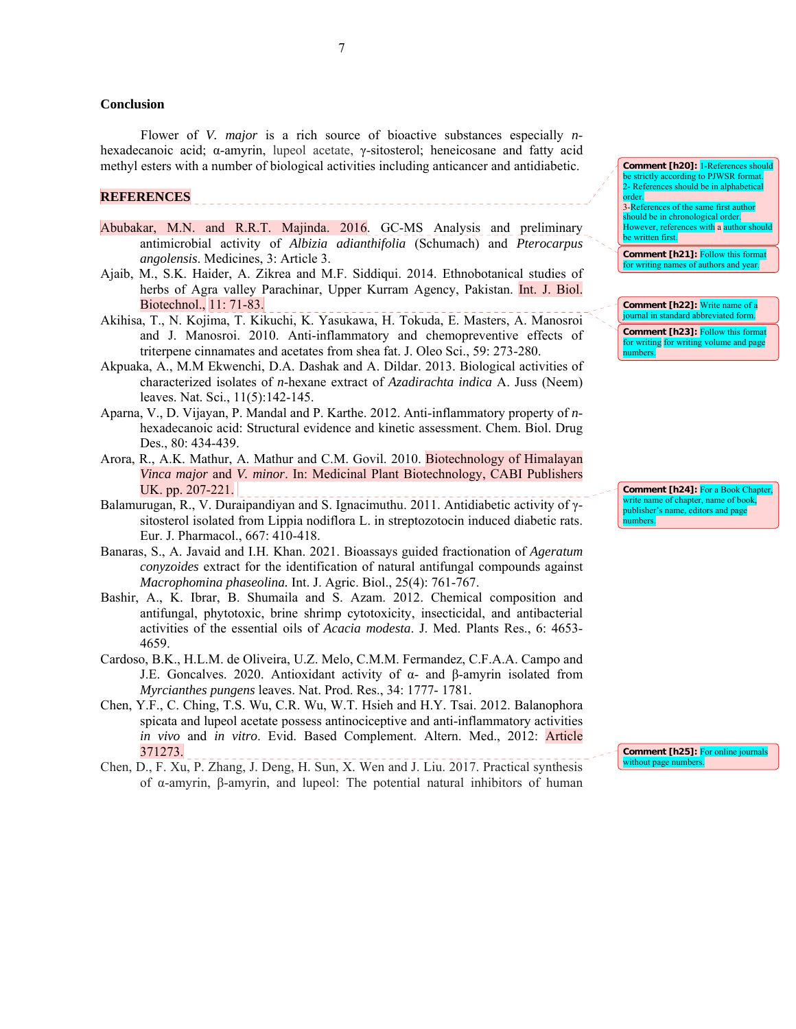### **Conclusion**

Flower of *V. major* is a rich source of bioactive substances especially *n*hexadecanoic acid; α-amyrin, lupeol acetate, γ-sitosterol; heneicosane and fatty acid methyl esters with a number of biological activities including anticancer and antidiabetic.

### **REFERENCES**

- Abubakar, M.N. and R.R.T. Majinda. 2016. GC-MS Analysis and preliminary antimicrobial activity of *Albizia adianthifolia* (Schumach) and *Pterocarpus angolensis*. Medicines, 3: Article 3.
- Ajaib, M., S.K. Haider, A. Zikrea and M.F. Siddiqui. 2014. Ethnobotanical studies of herbs of Agra valley Parachinar, Upper Kurram Agency, Pakistan. Int. J. Biol. Biotechnol., 11: 71-83.
- Akihisa, T., N. Kojima, T. Kikuchi, K. Yasukawa, H. Tokuda, E. Masters, A. Manosroi and J. Manosroi. 2010. Anti-inflammatory and chemopreventive effects of triterpene cinnamates and acetates from shea fat. J. Oleo Sci., 59: 273-280.
- Akpuaka, A., M.M Ekwenchi, D.A. Dashak and A. Dildar. 2013. Biological activities of characterized isolates of *n*-hexane extract of *Azadirachta indica* A. Juss (Neem) leaves. Nat. Sci., 11(5):142-145.
- Aparna, V., D. Vijayan, P. Mandal and P. Karthe. 2012. Anti-inflammatory property of *n*hexadecanoic acid: Structural evidence and kinetic assessment. Chem. Biol. Drug Des., 80: 434-439.
- Arora, R., A.K. Mathur, A. Mathur and C.M. Govil. 2010. Biotechnology of Himalayan *Vinca major* and *V. minor*. In: Medicinal Plant Biotechnology, CABI Publishers UK. pp. 207-221.
- Balamurugan, R., V. Duraipandiyan and S. Ignacimuthu. 2011. Antidiabetic activity of γsitosterol isolated from Lippia nodiflora L. in streptozotocin induced diabetic rats. Eur. J. Pharmacol., 667: 410-418.
- Banaras, S., A. Javaid and I.H. Khan. 2021. Bioassays guided fractionation of *Ageratum conyzoides* extract for the identification of natural antifungal compounds against *Macrophomina phaseolina.* Int. J. Agric. Biol., 25(4): 761-767.
- Bashir, A., K. Ibrar, B. Shumaila and S. Azam. 2012. Chemical composition and antifungal, phytotoxic, brine shrimp cytotoxicity, insecticidal, and antibacterial activities of the essential oils of *Acacia modesta*. J. Med. Plants Res., 6: 4653- 4659.
- Cardoso, B.K., H.L.M. de Oliveira, U.Z. Melo, C.M.M. Fermandez, C.F.A.A. Campo and J.E. Goncalves. 2020. Antioxidant activity of  $\alpha$ - and β-amyrin isolated from *Myrcianthes pungens* leaves. Nat. Prod. Res., 34: 1777- 1781.
- Chen, Y.F., C. Ching, T.S. Wu, C.R. Wu, W.T. Hsieh and H.Y. Tsai. 2012. Balanophora spicata and lupeol acetate possess antinociceptive and anti-inflammatory activities *in vivo* and *in vitro*. Evid. Based Complement. Altern. Med., 2012: Article 371273.
- Chen, D., F. Xu, P. Zhang, J. Deng, H. Sun, X. Wen and J. Liu. 2017. Practical synthesis of α-amyrin, β-amyrin, and lupeol: The potential natural inhibitors of human

**Comment [h20]:** 1-References should be strictly according to PJWSR format. 2- References should be in alphabetical order. 3-References of the same first auth should be in chronological order. However, references with a author should be written first.

**Comment [h21]:** Follow this form for writing names of authors and year.

**Comment [h22]:** Write name of a journal in standard abbreviated form. **Comment [h23]: Follow this formation** for writing for writing volume and page numbers.

**Comment [h24]:** For a Book Chap write name of chapter, name of book publisher's name, editors and page numbers.

**Comment [h25]:** For online journal without page numbers.

7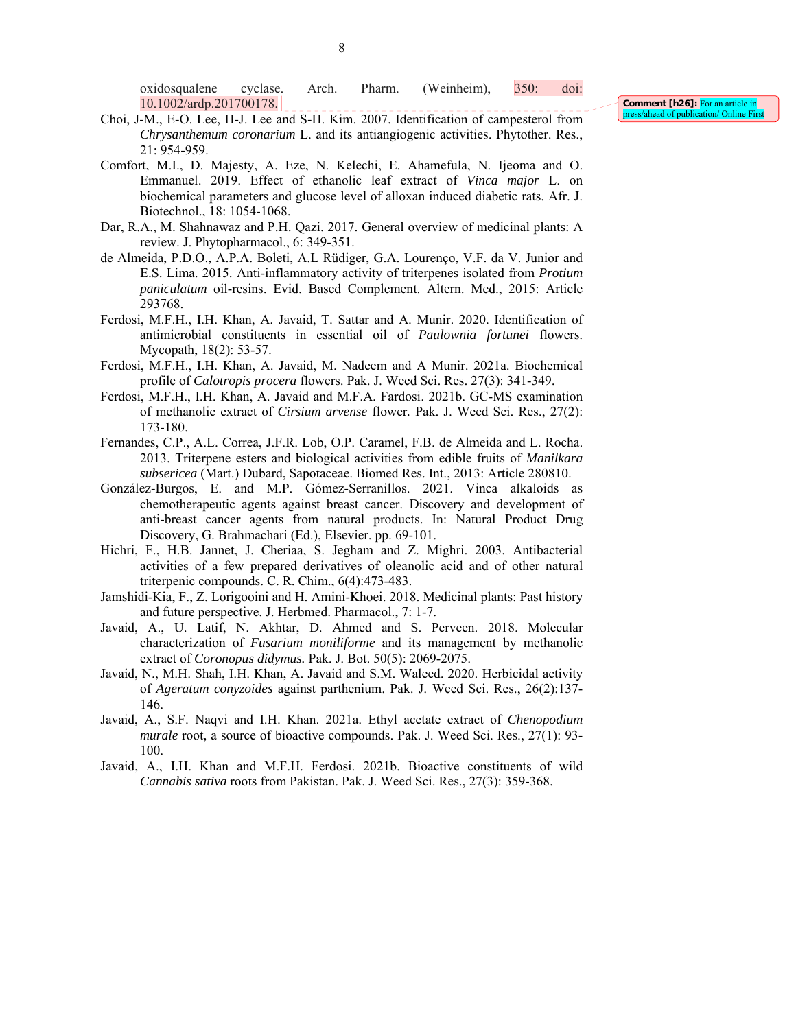oxidosqualene cyclase. Arch. Pharm. (Weinheim), 350: doi: 10.1002/ardp.201700178.

- Choi, J-M., E-O. Lee, H-J. Lee and S-H. Kim. 2007. Identification of campesterol from *Chrysanthemum coronarium* L. and its antiangiogenic activities. Phytother. Res., 21: 954-959.
- Comfort, M.I., D. Majesty, A. Eze, N. Kelechi, E. Ahamefula, N. Ijeoma and O. Emmanuel. 2019. Effect of ethanolic leaf extract of *Vinca major* L. on biochemical parameters and glucose level of alloxan induced diabetic rats. Afr. J. Biotechnol., 18: 1054-1068.
- Dar, R.A., M. Shahnawaz and P.H. Qazi. 2017. General overview of medicinal plants: A review. J. Phytopharmacol., 6: 349-351.
- de Almeida, P.D.O., A.P.A. Boleti, A.L Rüdiger, G.A. Lourenço, V.F. da V. Junior and E.S. Lima. 2015. Anti-inflammatory activity of triterpenes isolated from *Protium paniculatum* oil-resins. Evid. Based Complement. Altern. Med., 2015: Article 293768.
- Ferdosi, M.F.H., I.H. Khan, A. Javaid, T. Sattar and A. Munir. 2020. Identification of antimicrobial constituents in essential oil of *Paulownia fortunei* flowers. Mycopath, 18(2): 53-57.
- Ferdosi, M.F.H., I.H. Khan, A. Javaid, M. Nadeem and A Munir. 2021a. Biochemical profile of *Calotropis procera* flowers. Pak. J. Weed Sci. Res. 27(3): 341-349.
- Ferdosi, M.F.H., I.H. Khan, A. Javaid and M.F.A. Fardosi. 2021b. GC-MS examination of methanolic extract of *Cirsium arvense* flower*.* Pak. J. Weed Sci. Res., 27(2): 173-180.
- Fernandes, C.P., A.L. Correa, J.F.R. Lob, O.P. Caramel, F.B. de Almeida and L. Rocha. 2013. Triterpene esters and biological activities from edible fruits of *Manilkara subsericea* (Mart.) Dubard, Sapotaceae. Biomed Res. Int., 2013: Article 280810.
- González-Burgos, E. and M.P. Gómez-Serranillos. 2021. Vinca alkaloids as chemotherapeutic agents against breast cancer. Discovery and development of anti-breast cancer agents from natural products. In: Natural Product Drug Discovery, G. Brahmachari (Ed.), Elsevier. pp. 69-101.
- Hichri, F., H.B. Jannet, J. Cheriaa, S. Jegham and Z. Mighri. 2003. Antibacterial activities of a few prepared derivatives of oleanolic acid and of other natural triterpenic compounds. C. R. Chim., 6(4):473-483.
- Jamshidi-Kia, F., Z. Lorigooini and H. Amini-Khoei. 2018. Medicinal plants: Past history and future perspective. J. Herbmed. Pharmacol., 7: 1-7.
- Javaid, A., U. Latif, N. Akhtar, D. Ahmed and S. Perveen. 2018. Molecular characterization of *Fusarium moniliforme* and its management by methanolic extract of *Coronopus didymus.* Pak. J. Bot. 50(5): 2069-2075.
- Javaid, N., M.H. Shah, I.H. Khan, A. Javaid and S.M. Waleed. 2020. Herbicidal activity of *Ageratum conyzoides* against parthenium. Pak. J. Weed Sci. Res., 26(2):137- 146.
- Javaid, A., S.F. Naqvi and I.H. Khan. 2021a. Ethyl acetate extract of *Chenopodium murale* root*,* a source of bioactive compounds. Pak. J. Weed Sci. Res., 27(1): 93- 100.
- Javaid, A., I.H. Khan and M.F.H. Ferdosi. 2021b. Bioactive constituents of wild *Cannabis sativa* roots from Pakistan. Pak. J. Weed Sci. Res., 27(3): 359-368.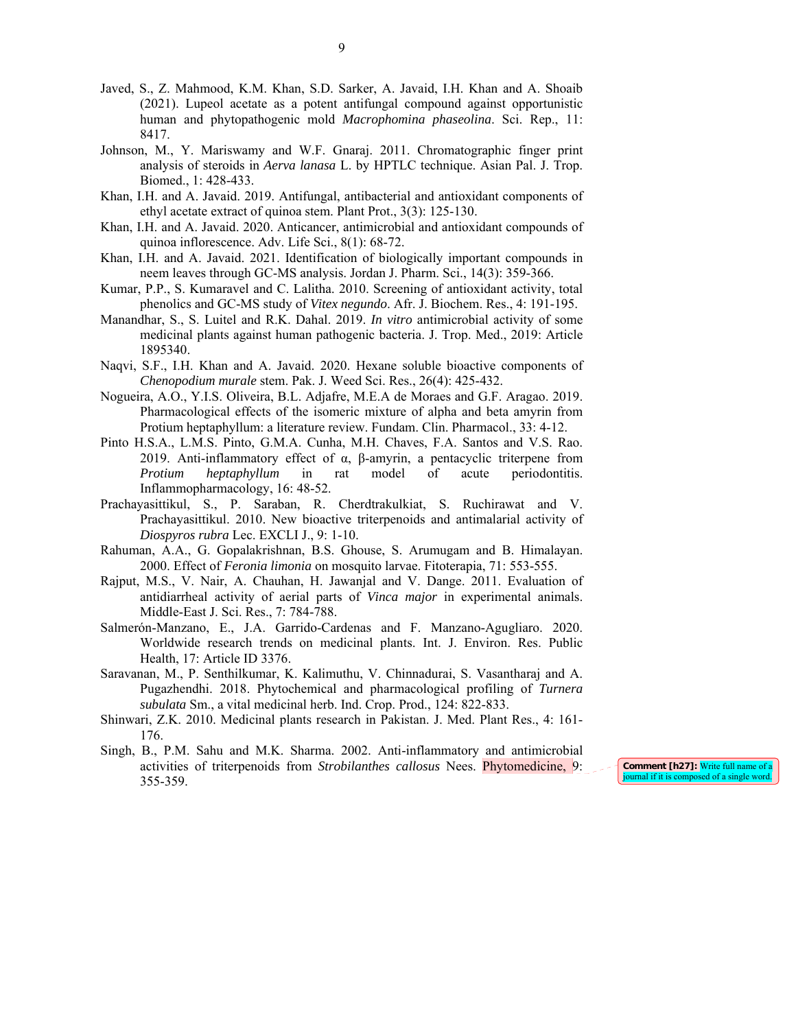- Javed, S., Z. Mahmood, K.M. Khan, S.D. Sarker, A. Javaid, I.H. Khan and A. Shoaib (2021). Lupeol acetate as a potent antifungal compound against opportunistic human and phytopathogenic mold *Macrophomina phaseolina*. Sci. Rep., 11: 8417.
- Johnson, M., Y. Mariswamy and W.F. Gnaraj. 2011. Chromatographic finger print analysis of steroids in *Aerva lanasa* L. by HPTLC technique. Asian Pal. J. Trop. Biomed., 1: 428-433.
- Khan, I.H. and A. Javaid. 2019. Antifungal, antibacterial and antioxidant components of ethyl acetate extract of quinoa stem. Plant Prot., 3(3): 125-130.
- Khan, I.H. and A. Javaid. 2020. Anticancer, antimicrobial and antioxidant compounds of quinoa inflorescence. Adv. Life Sci., 8(1): 68-72.
- Khan, I.H. and A. Javaid. 2021. Identification of biologically important compounds in neem leaves through GC-MS analysis. Jordan J. Pharm. Sci., 14(3): 359-366.
- Kumar, P.P., S. Kumaravel and C. Lalitha. 2010. Screening of antioxidant activity, total phenolics and GC-MS study of *Vitex negundo*. Afr. J. Biochem. Res., 4: 191-195.
- Manandhar, S., S. Luitel and R.K. Dahal. 2019. *In vitro* antimicrobial activity of some medicinal plants against human pathogenic bacteria. J. Trop. Med., 2019: Article 1895340.
- Naqvi, S.F., I.H. Khan and A. Javaid. 2020. Hexane soluble bioactive components of *Chenopodium murale* stem. Pak. J. Weed Sci. Res., 26(4): 425-432.
- Nogueira, A.O., Y.I.S. Oliveira, B.L. Adjafre, M.E.A de Moraes and G.F. Aragao. 2019. Pharmacological effects of the isomeric mixture of alpha and beta amyrin from Protium heptaphyllum: a literature review. Fundam. Clin. Pharmacol., 33: 4-12.
- Pinto H.S.A., L.M.S. Pinto, G.M.A. Cunha, M.H. Chaves, F.A. Santos and V.S. Rao. 2019. Anti-inflammatory effect of α, β-amyrin, a pentacyclic triterpene from *Protium heptaphyllum* in rat model of acute periodontitis. Inflammopharmacology, 16: 48-52.
- Prachayasittikul, S., P. Saraban, R. Cherdtrakulkiat, S. Ruchirawat and V. Prachayasittikul. 2010. New bioactive triterpenoids and antimalarial activity of *Diospyros rubra* Lec. EXCLI J., 9: 1-10.
- Rahuman, A.A., G. Gopalakrishnan, B.S. Ghouse, S. Arumugam and B. Himalayan. 2000. Effect of *Feronia limonia* on mosquito larvae. Fitoterapia, 71: 553-555.
- Rajput, M.S., V. Nair, A. Chauhan, H. Jawanjal and V. Dange. 2011. Evaluation of antidiarrheal activity of aerial parts of *Vinca major* in experimental animals. Middle-East J. Sci. Res., 7: 784-788.
- Salmerón-Manzano, E., J.A. Garrido-Cardenas and F. Manzano-Agugliaro. 2020. Worldwide research trends on medicinal plants. Int. J. Environ. Res. Public Health, 17: Article ID 3376.
- Saravanan, M., P. Senthilkumar, K. Kalimuthu, V. Chinnadurai, S. Vasantharaj and A. Pugazhendhi. 2018. Phytochemical and pharmacological profiling of *Turnera subulata* Sm., a vital medicinal herb. Ind. Crop. Prod., 124: 822-833.
- Shinwari, Z.K. 2010. Medicinal plants research in Pakistan. J. Med. Plant Res., 4: 161- 176.
- Singh, B., P.M. Sahu and M.K. Sharma. 2002. Anti-inflammatory and antimicrobial activities of triterpenoids from *Strobilanthes callosus* Nees. Phytomedicine, 9: 355-359.

**Comment [h27]:** Write full name of a journal if it is composed of a single word.